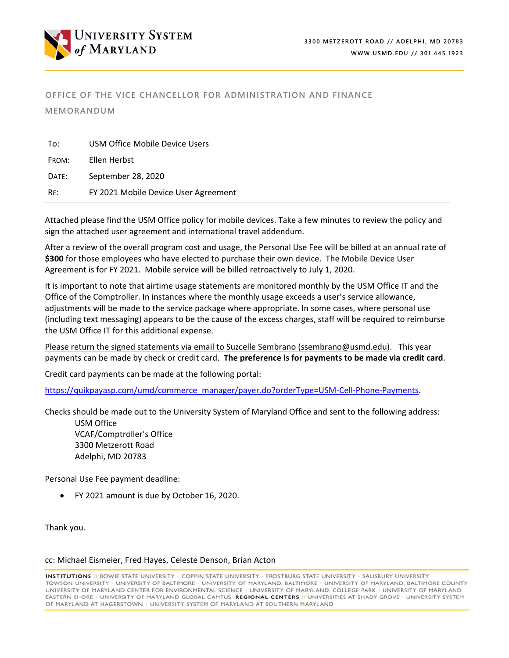

# **OFFICE OF THE VICE CHANCELLOR FOR ADMINISTRATION AND FINANCE**

**MEMORANDUM** 

| To:   | USM Office Mobile Device Users       |
|-------|--------------------------------------|
| FROM: | Ellen Herbst                         |
| DATE: | September 28, 2020                   |
| RE:   | FY 2021 Mobile Device User Agreement |

Attached please find the USM Office policy for mobile devices. Take a few minutes to review the policy and sign the attached user agreement and international travel addendum.

After a review of the overall program cost and usage, the Personal Use Fee will be billed at an annual rate of **\$300** for those employees who have elected to purchase their own device. The Mobile Device User Agreement is for FY 2021. Mobile service will be billed retroactively to July 1, 2020.

It is important to note that airtime usage statements are monitored monthly by the USM Office IT and the Office of the Comptroller. In instances where the monthly usage exceeds a user's service allowance, adjustments will be made to the service package where appropriate. In some cases, where personal use (including text messaging) appears to be the cause of the excess charges, staff will be required to reimburse the USM Office IT for this additional expense.

Please return the signed statements via email to Suzcelle Sembrano (ssembrano@usmd.edu). This year payments can be made by check or credit card. **The preference is for payments to be made via credit card**.

Credit card payments can be made at the following portal:

[https://quikpayasp.com/umd/commerce\\_manager/payer.do?orderType=USM](https://quikpayasp.com/umd/commerce_manager/payer.do?orderType=USM-Cell-Phone-Payments)-Cell-Phone-Payments.

Checks should be made out to the University System of Maryland Office and sent to the following address:

USM Office VCAF/Comptroller's Office 3300 Metzerott Road Adelphi, MD 20783

Personal Use Fee payment deadline:

FY 2021 amount is due by October 16, 2020.

Thank you.

#### cc: Michael Eismeier, Fred Hayes, Celeste Denson, Brian Acton

**INSTITUTIONS //** BOWIE STATE UNIVERSITY - COPPIN STATE UNIVERSITY - FROSTBURG STATE UNIVERSITY - SALISBURY UNIVERSITY TOWSON UNIVERSITY - UNIVERSITY OF BALTIMORE - UNIVERSITY OF MARYLAND, BALTIMORE - UNIVERSITY OF MARYLAND, BALTIMORE COUNTY UNIVERSITY OF MARYLAND CENTER FOR ENVIRONMENTAL SCIENCE · UNIVERSITY OF MARYLAND, COLLEGE PARK · UNIVERSITY OF MARYLAND EASTERN SHORE - UNIVERSITY OF MARYLAND GLOBAL CAMPUS REGIONAL CENTERS II UNIVERSITIES AT SHADY GROVE - UNIVERSITY SYSTEM OF MARYLAND AT HAGERSTOWN . UNIVERSITY SYSTEM OF MARYLAND AT SOUTHERN MARYLAND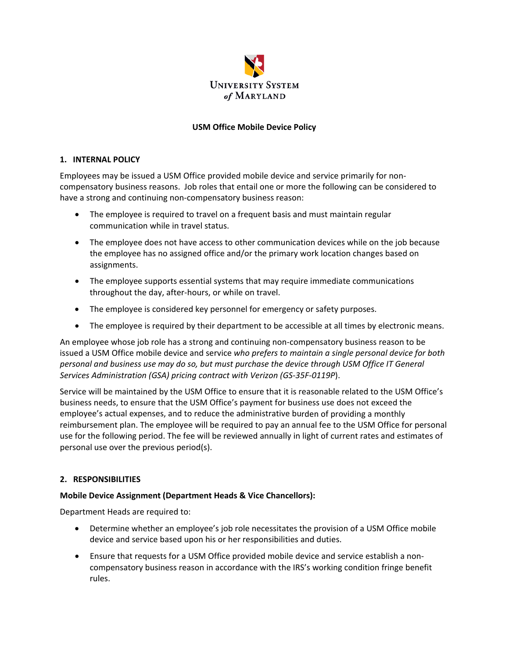

## **USM Office Mobile Device Policy**

#### **1. INTERNAL POLICY**

Employees may be issued a USM Office provided mobile device and service primarily for non‐ compensatory business reasons. Job roles that entail one or more the following can be considered to have a strong and continuing non-compensatory business reason:

- The employee is required to travel on a frequent basis and must maintain regular communication while in travel status.
- The employee does not have access to other communication devices while on the job because the employee has no assigned office and/or the primary work location changes based on assignments.
- The employee supports essential systems that may require immediate communications throughout the day, after‐hours, or while on travel.
- The employee is considered key personnel for emergency or safety purposes.
- The employee is required by their department to be accessible at all times by electronic means.

An employee whose job role has a strong and continuing non‐compensatory business reason to be issued a USM Office mobile device and service *who prefers to maintain a single personal device for both personal and business use may do so, but must purchase the device through USM Office IT General Services Administration (GSA) pricing contract with Verizon (GS‐35F‐0119P*).

Service will be maintained by the USM Office to ensure that it is reasonable related to the USM Office's business needs, to ensure that the USM Office's payment for business use does not exceed the employee's actual expenses, and to reduce the administrative burden of providing a monthly reimbursement plan. The employee will be required to pay an annual fee to the USM Office for personal use for the following period. The fee will be reviewed annually in light of current rates and estimates of personal use over the previous period(s).

### **2. RESPONSIBILITIES**

### **Mobile Device Assignment (Department Heads & Vice Chancellors):**

Department Heads are required to:

- Determine whether an employee's job role necessitates the provision of a USM Office mobile device and service based upon his or her responsibilities and duties.
- Ensure that requests for a USM Office provided mobile device and service establish a non‐ compensatory business reason in accordance with the IRS's working condition fringe benefit rules.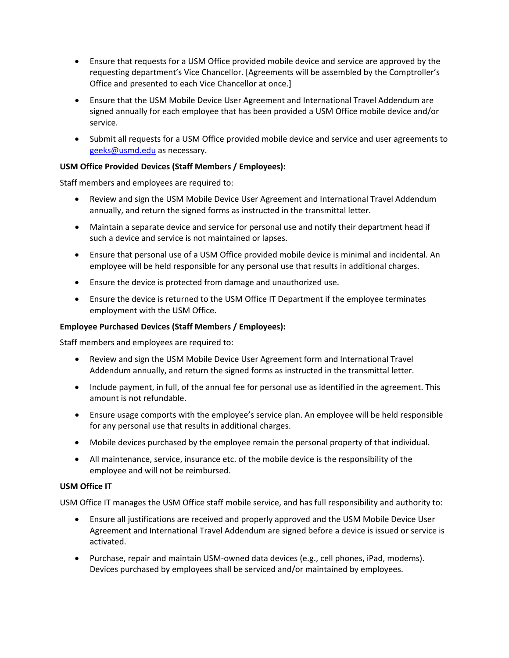- Ensure that requests for a USM Office provided mobile device and service are approved by the requesting department's Vice Chancellor. [Agreements will be assembled by the Comptroller's Office and presented to each Vice Chancellor at once.]
- Ensure that the USM Mobile Device User Agreement and International Travel Addendum are signed annually for each employee that has been provided a USM Office mobile device and/or service.
- Submit all requests for a USM Office provided mobile device and service and user agreements to [geeks@usmd.edu](mailto:geeks@usmd.edu) as necessary.

## **USM Office Provided Devices (Staff Members / Employees):**

Staff members and employees are required to:

- Review and sign the USM Mobile Device User Agreement and International Travel Addendum annually, and return the signed forms as instructed in the transmittal letter.
- Maintain a separate device and service for personal use and notify their department head if such a device and service is not maintained or lapses.
- Ensure that personal use of a USM Office provided mobile device is minimal and incidental. An employee will be held responsible for any personal use that results in additional charges.
- Ensure the device is protected from damage and unauthorized use.
- Ensure the device is returned to the USM Office IT Department if the employee terminates employment with the USM Office.

## **Employee Purchased Devices (Staff Members / Employees):**

Staff members and employees are required to:

- Review and sign the USM Mobile Device User Agreement form and International Travel Addendum annually, and return the signed forms as instructed in the transmittal letter.
- Include payment, in full, of the annual fee for personal use as identified in the agreement. This amount is not refundable.
- Ensure usage comports with the employee's service plan. An employee will be held responsible for any personal use that results in additional charges.
- Mobile devices purchased by the employee remain the personal property of that individual.
- All maintenance, service, insurance etc. of the mobile device is the responsibility of the employee and will not be reimbursed.

### **USM Office IT**

USM Office IT manages the USM Office staff mobile service, and has full responsibility and authority to:

- Ensure all justifications are received and properly approved and the USM Mobile Device User Agreement and International Travel Addendum are signed before a device is issued or service is activated.
- Purchase, repair and maintain USM-owned data devices (e.g., cell phones, iPad, modems). Devices purchased by employees shall be serviced and/or maintained by employees.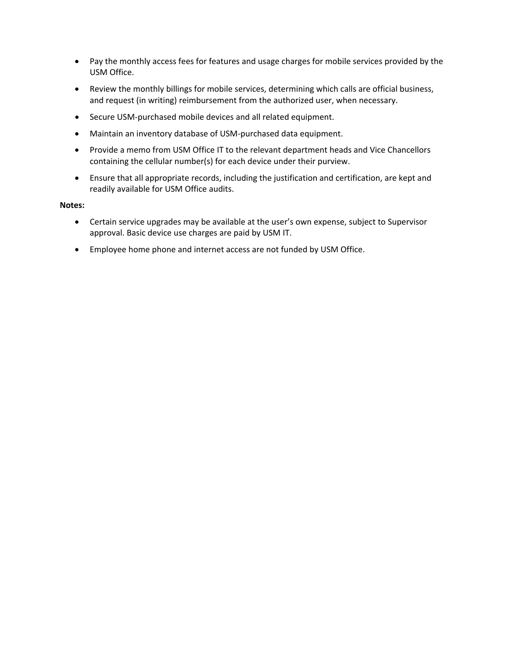- Pay the monthly access fees for features and usage charges for mobile services provided by the USM Office.
- Review the monthly billings for mobile services, determining which calls are official business, and request (in writing) reimbursement from the authorized user, when necessary.
- Secure USM-purchased mobile devices and all related equipment.
- Maintain an inventory database of USM‐purchased data equipment.
- Provide a memo from USM Office IT to the relevant department heads and Vice Chancellors containing the cellular number(s) for each device under their purview.
- Ensure that all appropriate records, including the justification and certification, are kept and readily available for USM Office audits.

#### **Notes:**

- Certain service upgrades may be available at the user's own expense, subject to Supervisor approval. Basic device use charges are paid by USM IT.
- Employee home phone and internet access are not funded by USM Office.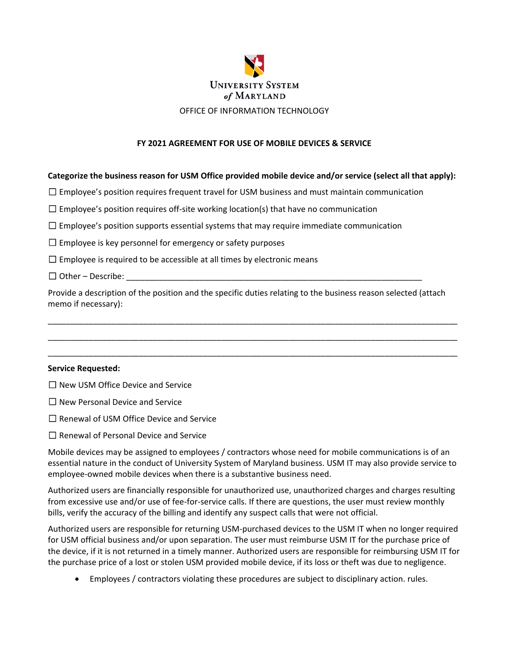

#### **FY 2021 AGREEMENT FOR USE OF MOBILE DEVICES & SERVICE**

#### **Categorize the business reason for USM Office provided mobile device and/or service (select all that apply):**

 $\Box$  Employee's position requires frequent travel for USM business and must maintain communication

 $\Box$  Employee's position requires off-site working location(s) that have no communication

 $\square$  Employee's position supports essential systems that may require immediate communication

 $\Box$  Employee is key personnel for emergency or safety purposes

 $\Box$  Employee is required to be accessible at all times by electronic means

 $\Box$  Other – Describe:

Provide a description of the position and the specific duties relating to the business reason selected (attach memo if necessary):

\_\_\_\_\_\_\_\_\_\_\_\_\_\_\_\_\_\_\_\_\_\_\_\_\_\_\_\_\_\_\_\_\_\_\_\_\_\_\_\_\_\_\_\_\_\_\_\_\_\_\_\_\_\_\_\_\_\_\_\_\_\_\_\_\_\_\_\_\_\_\_\_\_\_\_\_\_\_\_\_\_\_\_\_\_\_\_\_\_\_ \_\_\_\_\_\_\_\_\_\_\_\_\_\_\_\_\_\_\_\_\_\_\_\_\_\_\_\_\_\_\_\_\_\_\_\_\_\_\_\_\_\_\_\_\_\_\_\_\_\_\_\_\_\_\_\_\_\_\_\_\_\_\_\_\_\_\_\_\_\_\_\_\_\_\_\_\_\_\_\_\_\_\_\_\_\_\_\_\_\_ \_\_\_\_\_\_\_\_\_\_\_\_\_\_\_\_\_\_\_\_\_\_\_\_\_\_\_\_\_\_\_\_\_\_\_\_\_\_\_\_\_\_\_\_\_\_\_\_\_\_\_\_\_\_\_\_\_\_\_\_\_\_\_\_\_\_\_\_\_\_\_\_\_\_\_\_\_\_\_\_\_\_\_\_\_\_\_\_\_\_

#### **Service Requested:**

☐ New USM Office Device and Service

- ☐ New Personal Device and Service
- ☐ Renewal of USM Office Device and Service
- ☐ Renewal of Personal Device and Service

Mobile devices may be assigned to employees / contractors whose need for mobile communications is of an essential nature in the conduct of University System of Maryland business. USM IT may also provide service to employee‐owned mobile devices when there is a substantive business need.

Authorized users are financially responsible for unauthorized use, unauthorized charges and charges resulting from excessive use and/or use of fee-for-service calls. If there are questions, the user must review monthly bills, verify the accuracy of the billing and identify any suspect calls that were not official.

Authorized users are responsible for returning USM‐purchased devices to the USM IT when no longer required for USM official business and/or upon separation. The user must reimburse USM IT for the purchase price of the device, if it is not returned in a timely manner. Authorized users are responsible for reimbursing USM IT for the purchase price of a lost or stolen USM provided mobile device, if its loss or theft was due to negligence.

Employees / contractors violating these procedures are subject to disciplinary action. rules.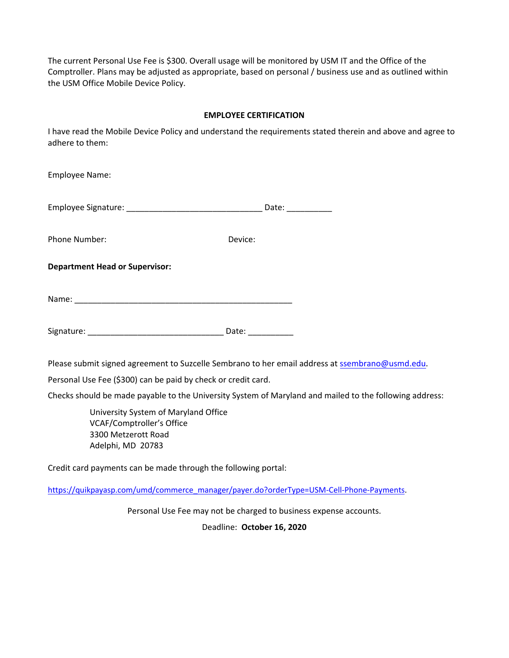The current Personal Use Fee is \$300. Overall usage will be monitored by USM IT and the Office of the Comptroller. Plans may be adjusted as appropriate, based on personal / business use and as outlined within the USM Office Mobile Device Policy.

### **EMPLOYEE CERTIFICATION**

I have read the Mobile Device Policy and understand the requirements stated therein and above and agree to adhere to them:

| <b>Employee Name:</b>                 |                       |  |  |
|---------------------------------------|-----------------------|--|--|
|                                       | Date: ____________    |  |  |
| Phone Number:                         | Device:               |  |  |
| <b>Department Head or Supervisor:</b> |                       |  |  |
|                                       |                       |  |  |
|                                       | Date: $\qquad \qquad$ |  |  |

Please submit signed agreement to Suzcelle Sembrano to her email address at [ssembrano@usmd.edu](mailto:ssembrano@usmd.edu).

Personal Use Fee (\$300) can be paid by check or credit card.

Checks should be made payable to the University System of Maryland and mailed to the following address:

University System of Maryland Office VCAF/Comptroller's Office 3300 Metzerott Road Adelphi, MD 20783

Credit card payments can be made through the following portal:

[https://quikpayasp.com/umd/commerce\\_manager/payer.do?orderType=USM](https://quikpayasp.com/umd/commerce_manager/payer.do?orderType=USM-Cell-Phone-Payments)-Cell-Phone-Payments.

Personal Use Fee may not be charged to business expense accounts.

Deadline: **October 16, 2020**